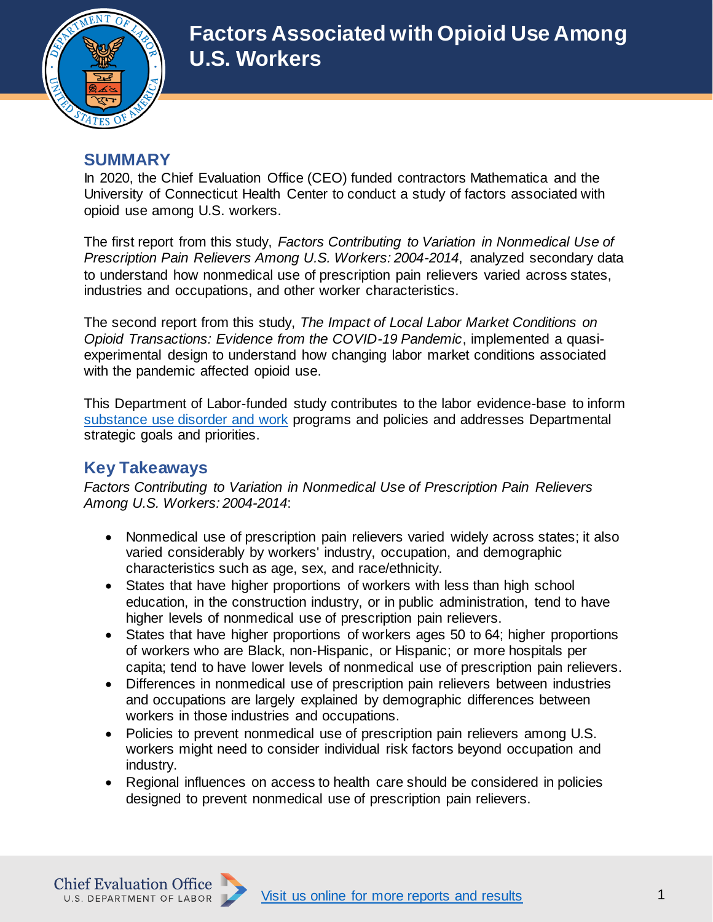

### **SUMMARY**

In 2020, the Chief Evaluation Office (CEO) funded contractors Mathematica and the University of Connecticut Health Center to conduct a study of factors associated with opioid use among U.S. workers.

The first report from this study, *Factors Contributing to Variation in Nonmedical Use of Prescription Pain Relievers Among U.S. Workers: 2004-2014*, analyzed secondary data to understand how nonmedical use of prescription pain relievers varied across states, industries and occupations, and other worker characteristics.

The second report from this study, *The Impact of Local Labor Market Conditions on Opioid Transactions: Evidence from the COVID-19 Pandemic*, implemented a quasiexperimental design to understand how changing labor market conditions associated with the pandemic affected opioid use.

This Department of Labor-funded study contributes to the labor evidence-base to inform [substance use disorder and work](https://www.dol.gov/agencies/oasp/evaluation/topic-areas/substance-use-disorder-work) programs and policies and addresses Departmental strategic goals and priorities.

## **Key Takeaways**

*Factors Contributing to Variation in Nonmedical Use of Prescription Pain Relievers Among U.S. Workers: 2004-2014*:

- Nonmedical use of prescription pain relievers varied widely across states; it also varied considerably by workers' industry, occupation, and demographic characteristics such as age, sex, and race/ethnicity.
- States that have higher proportions of workers with less than high school education, in the construction industry, or in public administration, tend to have higher levels of nonmedical use of prescription pain relievers.
- States that have higher proportions of workers ages 50 to 64; higher proportions of workers who are Black, non-Hispanic, or Hispanic; or more hospitals per capita; tend to have lower levels of nonmedical use of prescription pain relievers.
- Differences in nonmedical use of prescription pain relievers between industries and occupations are largely explained by demographic differences between workers in those industries and occupations.
- Policies to prevent nonmedical use of prescription pain relievers among U.S. workers might need to consider individual risk factors beyond occupation and industry.
- Regional influences on access to health care should be considered in policies designed to prevent nonmedical use of prescription pain relievers.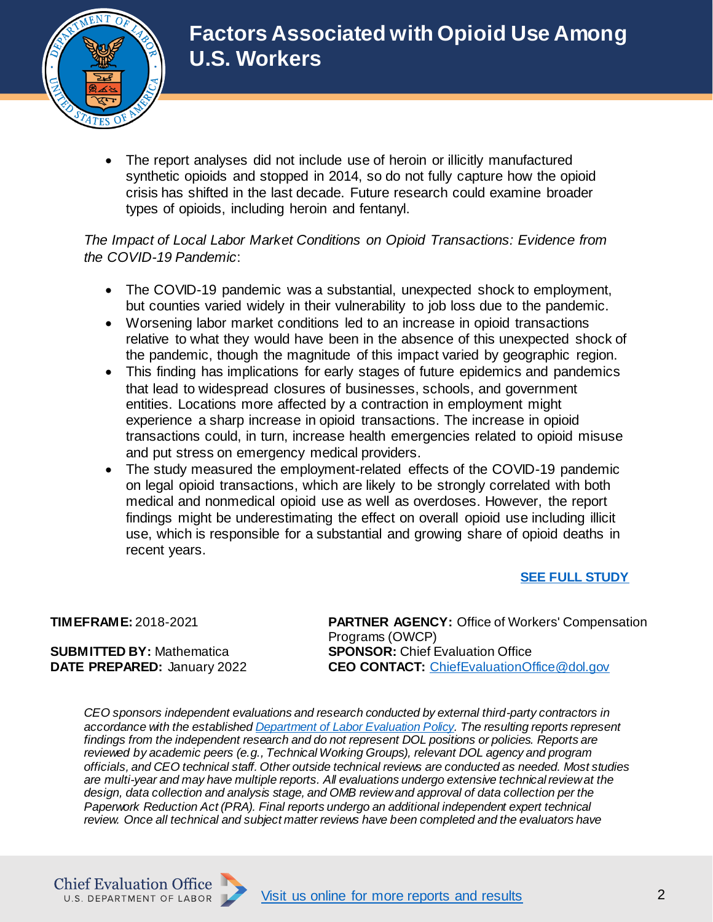

 The report analyses did not include use of heroin or illicitly manufactured synthetic opioids and stopped in 2014, so do not fully capture how the opioid crisis has shifted in the last decade. Future research could examine broader types of opioids, including heroin and fentanyl.

#### *The Impact of Local Labor Market Conditions on Opioid Transactions: Evidence from the COVID-19 Pandemic*:

- The COVID-19 pandemic was a substantial, unexpected shock to employment, but counties varied widely in their vulnerability to job loss due to the pandemic.
- Worsening labor market conditions led to an increase in opioid transactions relative to what they would have been in the absence of this unexpected shock of the pandemic, though the magnitude of this impact varied by geographic region.
- This finding has implications for early stages of future epidemics and pandemics that lead to widespread closures of businesses, schools, and government entities. Locations more affected by a contraction in employment might experience a sharp increase in opioid transactions. The increase in opioid transactions could, in turn, increase health emergencies related to opioid misuse and put stress on emergency medical providers.
- The study measured the employment-related effects of the COVID-19 pandemic on legal opioid transactions, which are likely to be strongly correlated with both medical and nonmedical opioid use as well as overdoses. However, the report findings might be underestimating the effect on overall opioid use including illicit use, which is responsible for a substantial and growing share of opioid deaths in recent years.

#### **[SEE FULL STUDY](/agencies/oasp/evaluation/completed-reports/factors-associated-with-opioid-use-among-U.S.-workers)**

**SUBMITTED BY:** Mathematica **DATE PREPARED:** January 2022

**TIMEFRAME:** 2018-2021 **PARTNER AGENCY:** Office of Workers' Compensation Programs (OWCP) **SPONSOR: Chief Evaluation Office CEO CONTACT:** [ChiefEvaluationOffice@dol.gov](mailto:ChiefEvaluationOffice@dol.gov?subject=FMLA%20Survey)

*CEO sponsors independent evaluations and research conducted by external third-party contractors in accordance with the establishe[d Department of Labor Evaluation Policy](https://www.dol.gov/evidence/Evaluation-Policy). The resulting reports represent findings from the independent research and do not represent DOL positions or policies. Reports are reviewed by academic peers (e.g., Technical Working Groups), relevant DOL agency and program officials, and CEO technical staff. Other outside technical reviews are conducted as needed. Most studies are multi-year and may have multiple reports. All evaluations undergo extensive technical review at the design, data collection and analysis stage, and OMB review and approval of data collection per the Paperwork Reduction Act (PRA). Final reports undergo an additional independent expert technical review. Once all technical and subject matter reviews have been completed and the evaluators have*